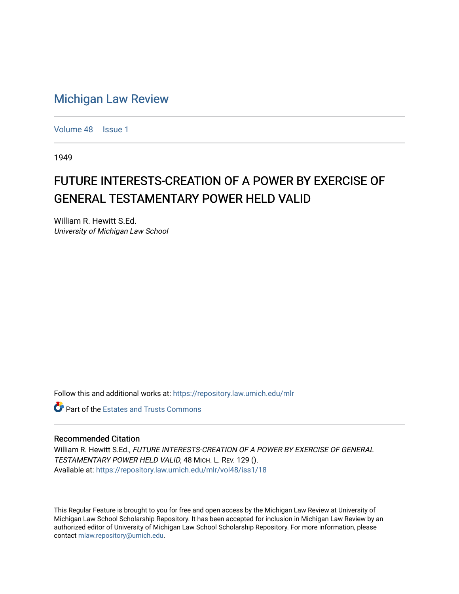## [Michigan Law Review](https://repository.law.umich.edu/mlr)

[Volume 48](https://repository.law.umich.edu/mlr/vol48) | [Issue 1](https://repository.law.umich.edu/mlr/vol48/iss1)

1949

## FUTURE INTERESTS-CREATION OF A POWER BY EXERCISE OF GENERAL TESTAMENTARY POWER HELD VALID

William R. Hewitt S.Ed. University of Michigan Law School

Follow this and additional works at: [https://repository.law.umich.edu/mlr](https://repository.law.umich.edu/mlr?utm_source=repository.law.umich.edu%2Fmlr%2Fvol48%2Fiss1%2F18&utm_medium=PDF&utm_campaign=PDFCoverPages) 

**C** Part of the Estates and Trusts Commons

## Recommended Citation

William R. Hewitt S.Ed., FUTURE INTERESTS-CREATION OF A POWER BY EXERCISE OF GENERAL TESTAMENTARY POWER HELD VALID, 48 MICH. L. REV. 129 (). Available at: [https://repository.law.umich.edu/mlr/vol48/iss1/18](https://repository.law.umich.edu/mlr/vol48/iss1/18?utm_source=repository.law.umich.edu%2Fmlr%2Fvol48%2Fiss1%2F18&utm_medium=PDF&utm_campaign=PDFCoverPages) 

This Regular Feature is brought to you for free and open access by the Michigan Law Review at University of Michigan Law School Scholarship Repository. It has been accepted for inclusion in Michigan Law Review by an authorized editor of University of Michigan Law School Scholarship Repository. For more information, please contact [mlaw.repository@umich.edu](mailto:mlaw.repository@umich.edu).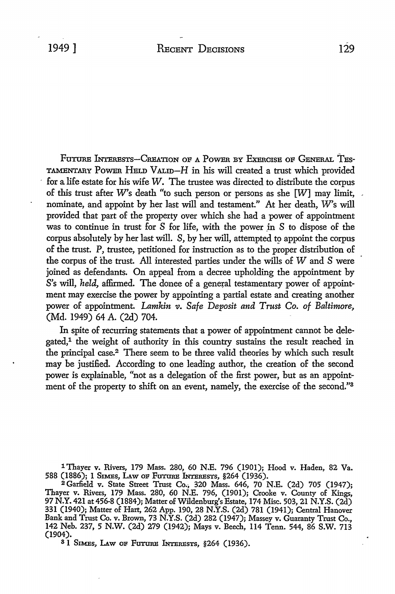FUTURE INTERESTS-CREATION OF A POWER BY EXERCISE OF GENERAL TES-TAMENTARY POWER HELD VALID-H in his will created a trust which provided for a life estate for his wife W. The trustee was directed to distribute the corpus of this trust after W's death "to such person or persons as she  $[W]$  may limit, nominate, and appoint by her last will and testament." At her death, W's will provided that part of the property over which she had a power of appointment was to continue in trust for *S* for life, with the power in *S* to dispose of the corpus absolutely by her last will. *S,* by her will, attempted *t9* appoint the corpus of the trust. P, trustee, petitioned for instruction as to the proper distribution of the corpus of the trust. All interested parties under the wills of *W* and *S* were joined as defendants. On appeal from a decree upholding the appointment by S's will, *held,* affirmed. The donee of a general testamentary power of appointment may exercise the power by appointing a partial estate and creating another power of appointment. *Lamkin v. Safe Deposit and Trust Co. of Baltimore,*  (Md. 1949) 64 A. (2d) 704.

In spite of recurring statements that a power of appointment cannot be delegated,<sup>1</sup> the weight of authority in this country sustains the result reached in the principal case.2 There seem to be three valid theories by which such result may be justified. According to one leading author, the creation of the second power is explainable, "not as a delegation of the first power, but as an appointment of the property to shift on an event, namely, the exercise of the second."<sup>3</sup>

1 Thayer v. Rivers, 179 Mass. 280, 60 N.E. 796 (1901); Hood v. Haden, 82 Va. 588 (1886); 1 SIMES, LAW OF FUTURE INTERESTS, §264 (1936).

<sup>2</sup>Garfield v. State Street Trust Co., 320 Mass. 646, 70 N.E. (2d) 705 (1947); Thayer v. Rivers, 179 Mass. 280, 60 N.E. 796, (1901); Crooke v. County of Kings, 97 N.Y. 421 at 456-8 (1884); Matter of Wildenburg's Estate, 174 Misc. 503, 21 N.Y.S. (2d) 331 (1940); Matter of Hart, 262 App. 190, 28 N.Y.S. (2d) 781 (1941); Central Hanover Bank and Trust Co. v. Brown, 73 N.Y.S. (2d) 282 (1947); Massey v. Guaranty Trust Co., 142 Neb. 237, 5 N.W. (2d) 279 (1942); Mays v. Beech, 114 Tenn. 544, 86 S.W. 713 (1904).

<sup>3</sup> I SIMES, LAW OF FUTURE INTERESTS, §264 (1936).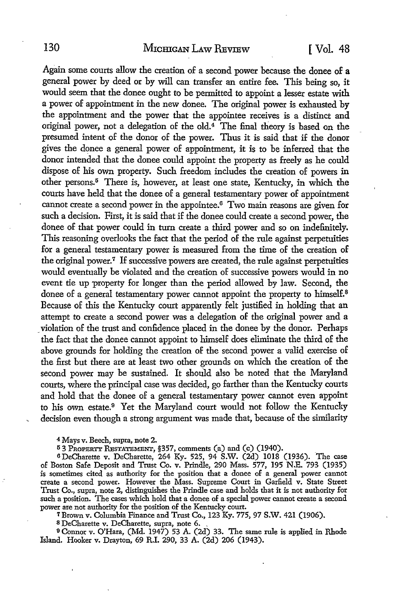Again some courts allow the creation of a second power because the donee of a general power by deed or by will can transfer an entire fee. This being so, it would seem that the donee ought to be permitted to appoint a lesser estate with a power of appointment in the new donee. The original power is exhausted by the appointment and the power that the appointee receives is a distinct and original power, not a delegation of the old.4 The final theory is based on the presumed intent of the donor of the power. Thus it is said that if the donor gives the donee a general power of appointment, it is to be inferred that the donor intended that the donee could appoint the property as freely as he could dispose of his own property. Such freedom includes the creation of powers in other persons.<sup>5</sup> There is, however, at least one state, Kentucky, in which the courts have held that the donee of a general testamentary power of appointment cannot create a second power in the appointee.6 Two main reasons are given for such a decision. First, it is said that if the donee could create a second power, the donee of that power could in turn create a third power and so on indefinitely. This reasoning overlooks the fact that the period of the rule against perpetuities for a general testamentary power is measured from the time of the creation of the original power.<sup>7</sup> If successive powers are created, the rule against perpetuities would eventually be violated and the creation of successive powers would in no event tie up property for longer than the period allowed by law. Second, the donee of a general testamentary power cannot appoint the property to himself.<sup>8</sup> Because of this the Kentucky court apparently felt justified in holding that an attempt to create a second power was a delegation of the original power and a violation of the trust and confidence placed in the donee by the donor. Perhaps the fact that the donee cannot appoint to himself does eliminate the third of the above grounds for holding the creation of the second power a valid exercise of the first but there are at least two other grounds on which the creation of the second power may be sustained. It should also be noted that the Maryland courts, where the principal case was decided, go farther than the Kentucky courts and hold that the donee of a general testamentary power cannot even appoint to his own estate.9 Yet the Maryland court would not follow the Kentucky decision even though a strong argument was made that, because of the similarity

4 Mays v. Beech, supra, note 2.

<sup>5</sup>3 PROPERTY REsTATEMENT, §357, comments (a) and (c) (1940).

<sup>6</sup>DeCharette v. DeCharette, 264 Ky. 525, 94 S.W. (2d) 1018 (1936). The case of Boston Safe Deposit and Trust Co. v. Prindle, 290 Mass. 577, 195 N.E. 793 (1935) is sometimes cited as authority for the position that a donee of a general power cannot create a second power. However the Mass. Supreme Court in Garfield v. State Street Trust Co., supra, note 2, distinguishes the Prindle case and holds that it is not authority for such a position. The cases which hold that a donee of a special power cannot create a second power are not authority for the position of the Kentucky court.

<sup>7</sup>Brown v. Columbia Finance and Trust Co., 123 Ky. 775, 97 S.W. 421 (1906).

s DeCharette v. DeCharette, supra, note 6. ,

<sup>9</sup>Connor v. O'Hara, (Md. 1947) 53 A. (2d) 33. The same rule is applied in Rhode Island. Hooker v. Drayton, 69 R.I. 290, 33 A. (2d) 206 (1943).